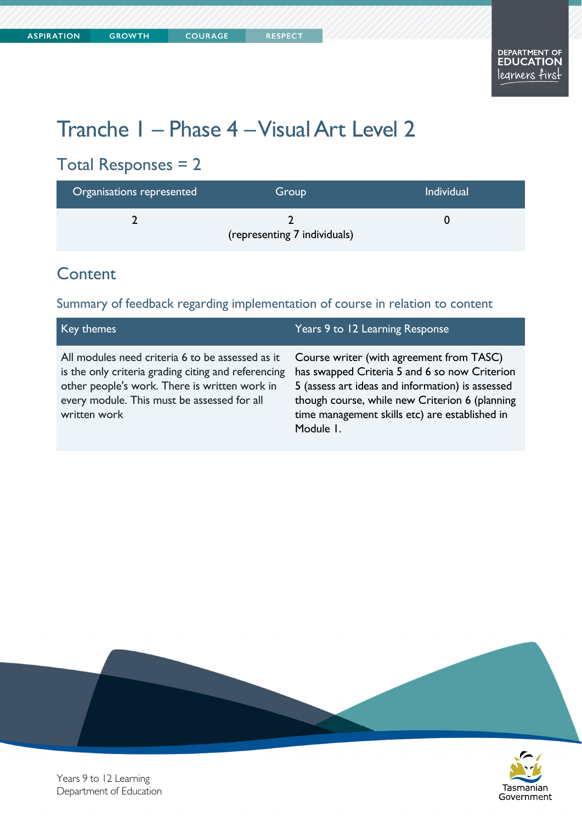# Tranche 1 – Phase 4 – Visual Art Level 2

## Total Responses = 2

| Organisations represented | Group                        | <b>Individual</b> |
|---------------------------|------------------------------|-------------------|
|                           | (representing 7 individuals) |                   |

#### **Content**

#### Summary of feedback regarding implementation of course in relation to content

| Key themes                                                                                                                                                                                                              | Years 9 to 12 Learning Response                                                                                                                                                                                                                                |
|-------------------------------------------------------------------------------------------------------------------------------------------------------------------------------------------------------------------------|----------------------------------------------------------------------------------------------------------------------------------------------------------------------------------------------------------------------------------------------------------------|
| All modules need criteria 6 to be assessed as it<br>is the only criteria grading citing and referencing<br>other people's work. There is written work in<br>every module. This must be assessed for all<br>written work | Course writer (with agreement from TASC)<br>has swapped Criteria 5 and 6 so now Criterion<br>5 (assess art ideas and information) is assessed<br>though course, while new Criterion 6 (planning<br>time management skills etc) are established in<br>Module I. |





Years 9 to 12 Learning Department of Education